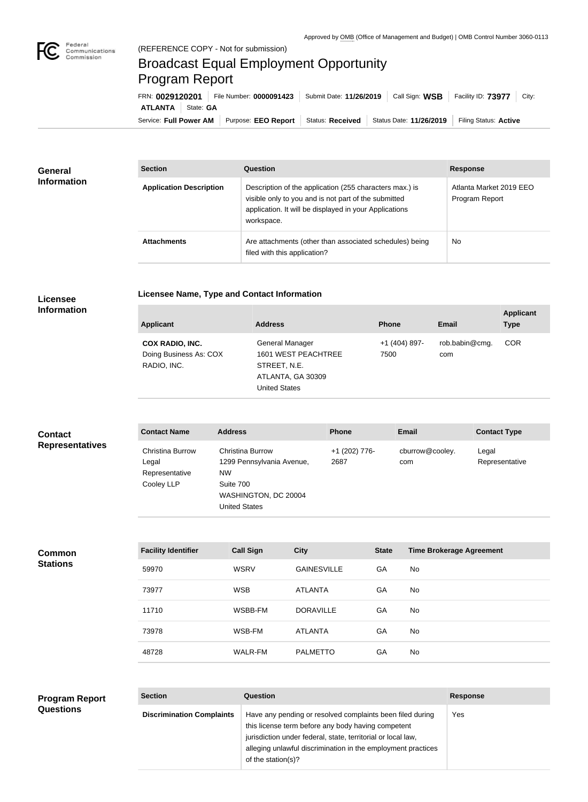

## Broadcast Equal Employment Opportunity Program Report

Service: Full Power AM | Purpose: EEO Report | Status: Received | Status Date: 11/26/2019 | Filing Status: Active **ATLANTA** | State: GA FRN: **0029120201** File Number: **0000091423** Submit Date: **11/26/2019** Call Sign: **WSB** Facility ID: **73977** City:

| <b>General</b><br><b>Information</b> | <b>Section</b>                 | Question                                                                                                                                                                                | <b>Response</b>                           |
|--------------------------------------|--------------------------------|-----------------------------------------------------------------------------------------------------------------------------------------------------------------------------------------|-------------------------------------------|
|                                      | <b>Application Description</b> | Description of the application (255 characters max.) is<br>visible only to you and is not part of the submitted<br>application. It will be displayed in your Applications<br>workspace. | Atlanta Market 2019 EEO<br>Program Report |
|                                      | <b>Attachments</b>             | Are attachments (other than associated schedules) being<br>filed with this application?                                                                                                 | <b>No</b>                                 |

## **Licensee Information**

**Common Stations**

**Licensee Name, Type and Contact Information**

| <b>Applicant</b>                                                | <b>Address</b>                                                                                      | <b>Phone</b>          | <b>Email</b>          | <b>Applicant</b><br><b>Type</b> |
|-----------------------------------------------------------------|-----------------------------------------------------------------------------------------------------|-----------------------|-----------------------|---------------------------------|
| <b>COX RADIO, INC.</b><br>Doing Business As: COX<br>RADIO, INC. | General Manager<br>1601 WEST PEACHTREE<br>STREET, N.E.<br>ATLANTA, GA 30309<br><b>United States</b> | +1 (404) 897-<br>7500 | rob.babin@cmg.<br>com | <b>COR</b>                      |

| <b>Contact</b>         | <b>Contact Name</b>                                       | <b>Address</b>                                                                                                                 | <b>Phone</b>          | <b>Email</b>           | <b>Contact Type</b>     |
|------------------------|-----------------------------------------------------------|--------------------------------------------------------------------------------------------------------------------------------|-----------------------|------------------------|-------------------------|
| <b>Representatives</b> | Christina Burrow<br>Legal<br>Representative<br>Cooley LLP | <b>Christina Burrow</b><br>1299 Pennsylvania Avenue,<br><b>NW</b><br>Suite 700<br>WASHINGTON, DC 20004<br><b>United States</b> | +1 (202) 776-<br>2687 | cburrow@cooley.<br>com | Legal<br>Representative |

| <b>Facility Identifier</b> | <b>Call Sign</b> | <b>City</b>        | <b>State</b> | <b>Time Brokerage Agreement</b> |
|----------------------------|------------------|--------------------|--------------|---------------------------------|
| 59970                      | <b>WSRV</b>      | <b>GAINESVILLE</b> | GA           | No                              |
| 73977                      | <b>WSB</b>       | <b>ATLANTA</b>     | GA           | No                              |
| 11710                      | WSBB-FM          | <b>DORAVILLE</b>   | GA           | No                              |
| 73978                      | WSB-FM           | ATLANTA            | GA           | No.                             |
| 48728                      | WALR-FM          | <b>PALMETTO</b>    | GA           | No                              |

## **Section Question Response Discrimination Complaints** | Have any pending or resolved complaints been filed during this license term before any body having competent jurisdiction under federal, state, territorial or local law, alleging unlawful discrimination in the employment practices of the station(s)? Yes **Program Report Questions**